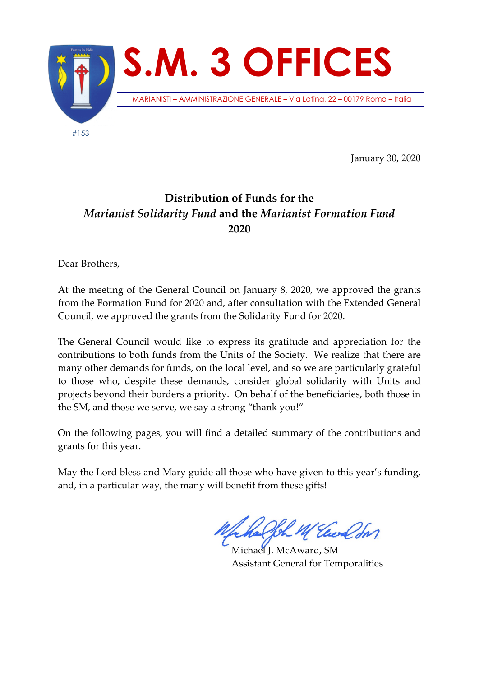

January 30, 2020

## **Distribution of Funds for the**  *Marianist Solidarity Fund* **and the** *Marianist Formation Fund* **2020**

Dear Brothers,

At the meeting of the General Council on January 8, 2020, we approved the grants from the Formation Fund for 2020 and, after consultation with the Extended General Council, we approved the grants from the Solidarity Fund for 2020.

The General Council would like to express its gratitude and appreciation for the contributions to both funds from the Units of the Society. We realize that there are many other demands for funds, on the local level, and so we are particularly grateful to those who, despite these demands, consider global solidarity with Units and projects beyond their borders a priority. On behalf of the beneficiaries, both those in the SM, and those we serve, we say a strong "thank you!"

On the following pages, you will find a detailed summary of the contributions and grants for this year.

May the Lord bless and Mary guide all those who have given to this year's funding, and, in a particular way, the many will benefit from these gifts!

Joh M Euch In

Michael J. McAward, SM Assistant General for Temporalities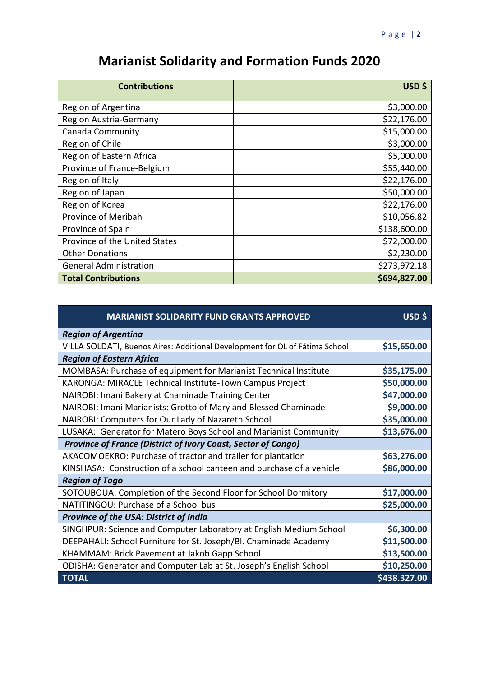## **Marianist Solidarity and Formation Funds 2020**

| <b>Contributions</b>          | USD \$       |
|-------------------------------|--------------|
| Region of Argentina           | \$3,000.00   |
| Region Austria-Germany        | \$22,176.00  |
| Canada Community              | \$15,000.00  |
| Region of Chile               | \$3,000.00   |
| Region of Eastern Africa      | \$5,000.00   |
| Province of France-Belgium    | \$55,440.00  |
| Region of Italy               | \$22,176.00  |
| Region of Japan               | \$50,000.00  |
| Region of Korea               | \$22,176.00  |
| Province of Meribah           | \$10,056.82  |
| Province of Spain             | \$138,600.00 |
| Province of the United States | \$72,000.00  |
| <b>Other Donations</b>        | \$2,230.00   |
| <b>General Administration</b> | \$273,972.18 |
| <b>Total Contributions</b>    | \$694,827.00 |

| <b>MARIANIST SOLIDARITY FUND GRANTS APPROVED</b>                            | USD\$        |
|-----------------------------------------------------------------------------|--------------|
| <b>Region of Argentina</b>                                                  |              |
| VILLA SOLDATI, Buenos Aires: Additional Development for OL of Fátima School | \$15,650.00  |
| <b>Region of Eastern Africa</b>                                             |              |
| MOMBASA: Purchase of equipment for Marianist Technical Institute            | \$35,175.00  |
| KARONGA: MIRACLE Technical Institute-Town Campus Project                    | \$50,000.00  |
| NAIROBI: Imani Bakery at Chaminade Training Center                          | \$47,000.00  |
| NAIROBI: Imani Marianists: Grotto of Mary and Blessed Chaminade             | \$9,000.00   |
| NAIROBI: Computers for Our Lady of Nazareth School                          | \$35,000.00  |
| LUSAKA: Generator for Matero Boys School and Marianist Community            | \$13,676.00  |
| Province of France (District of Ivory Coast, Sector of Congo)               |              |
| AKACOMOEKRO: Purchase of tractor and trailer for plantation                 | \$63,276.00  |
| KINSHASA: Construction of a school canteen and purchase of a vehicle        | \$86,000.00  |
| <b>Region of Togo</b>                                                       |              |
| SOTOUBOUA: Completion of the Second Floor for School Dormitory              | \$17,000.00  |
| NATITINGOU: Purchase of a School bus                                        | \$25,000.00  |
| Province of the USA: District of India                                      |              |
| SINGHPUR: Science and Computer Laboratory at English Medium School          | \$6,300.00   |
| DEEPAHALI: School Furniture for St. Joseph/Bl. Chaminade Academy            | \$11,500.00  |
| KHAMMAM: Brick Pavement at Jakob Gapp School                                | \$13,500.00  |
| ODISHA: Generator and Computer Lab at St. Joseph's English School           | \$10,250.00  |
| <b>TOTAL</b>                                                                | \$438.327.00 |